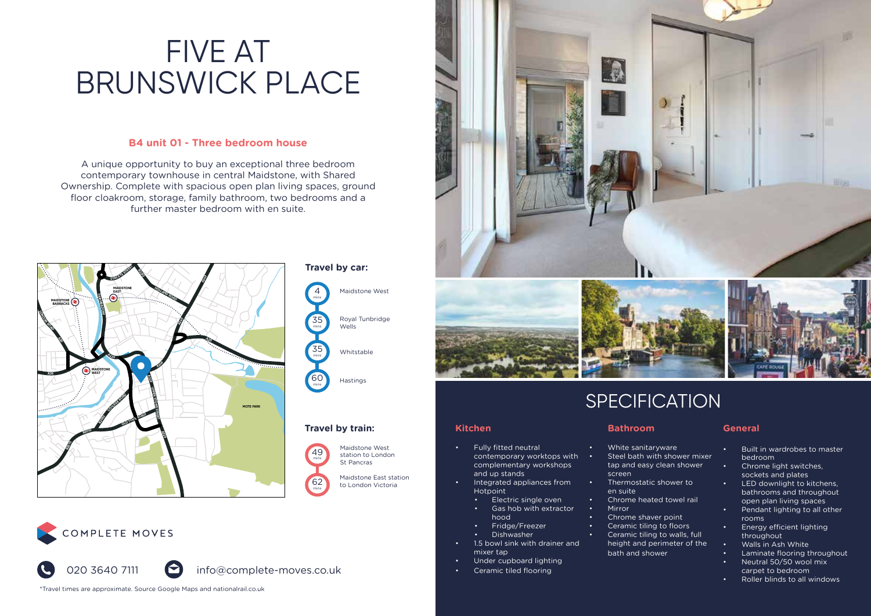### **B4 unit 01 - Three bedroom house**

A unique opportunity to buy an exceptional three bedroom contemporary townhouse in central Maidstone, with Shared Ownership. Complete with spacious open plan living spaces, ground floor cloakroom, storage, family bathroom, two bedrooms and a further master bedroom with en suite.



## COMPLETE MOVES



\*Travel times are approximate. Source Google Maps and nationalrail.co.uk





## **SPECIFICATION**

• Thermostatic shower to

• Chrome heated towel rail

• Chrome shaver point • Ceramic tiling to floors Ceramic tiling to walls, full height and perimeter of the

bath and shower

**Bathroom**

screen

en suite

• Mirror

### **Kitchen**

Maidstone West

Royal Tunbridge Wells

Whitstable

Hastings

Maidstone East station to London Victoria

Maidstone West station to London St Pancras

- Fully fitted neutral contemporary worktops with complementary workshops and up stands
	- Integrated appliances from Hotpoint
		- Electric single oven
		- Gas hob with extractor hood
	- Fridge/Freezer
	- Dishwasher
- 1.5 bowl sink with drainer and mixer tap
- Under cupboard lighting
- Ceramic tiled flooring

### **General**

- White sanitaryware Steel bath with shower mixer tap and easy clean shower • Built in wardrobes to master bedroom
	- Chrome light switches, sockets and plates
	- LED downlight to kitchens, bathrooms and throughout open plan living spaces
	- Pendant lighting to all other rooms
	- Energy efficient lighting throughout
	- Walls in Ash White
	- Laminate flooring throughout • Neutral 50/50 wool mix carpet to bedroom
	- Roller blinds to all windows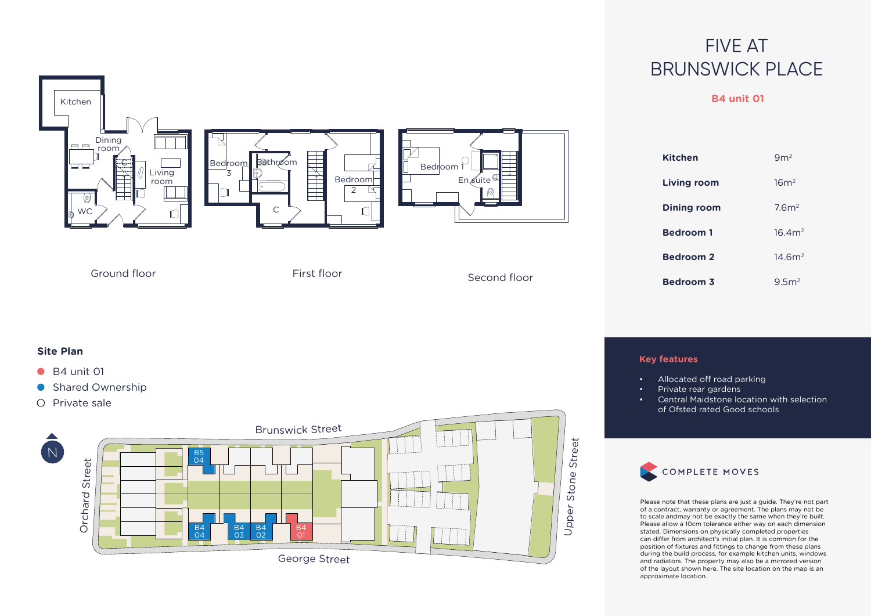## **B4 unit 01**



- 
- 



## COMPLETE MOVES

Please note that these plans are just a guide. They're not part of a contract, warranty or agreement. The plans may not be to scale andmay not be exactly the same when they're built. Please allow a 10cm tolerance either way on each dimension stated. Dimensions on physically completed properties can differ from architect's initial plan. It is common for the position of fixtures and fittings to change from these plans during the build process, for example kitchen units, windows and radiators. The property may also be a mirrored version of the layout shown here. The site location on the map is an approximate location.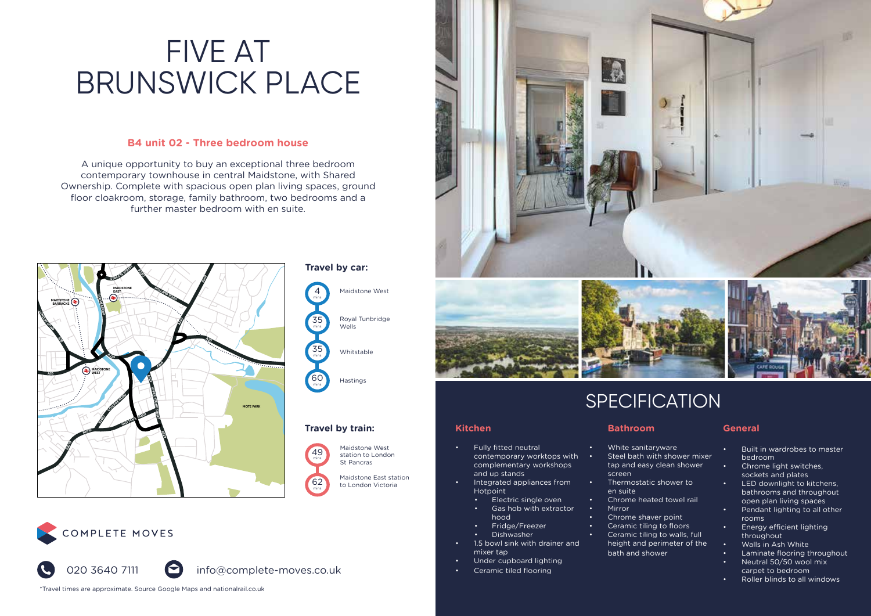## **B4 unit 02 - Three bedroom house**

A unique opportunity to buy an exceptional three bedroom contemporary townhouse in central Maidstone, with Shared Ownership. Complete with spacious open plan living spaces, ground floor cloakroom, storage, family bathroom, two bedrooms and a further master bedroom with en suite.



## COMPLETE MOVES



\*Travel times are approximate. Source Google Maps and nationalrail.co.uk





## **SPECIFICATION**

### **Kitchen**

Maidstone West

Royal Tunbridge Wells

Whitstable

Hastings

Maidstone East station to London Victoria

Maidstone West station to London St Pancras

- Fully fitted neutral contemporary worktops with complementary workshops and up stands
	- Integrated appliances from Hotpoint
		- Electric single oven
		- Gas hob with extractor hood
	- Fridge/Freezer
	- Dishwasher
- 1.5 bowl sink with drainer and mixer tap
- Under cupboard lighting
- Ceramic tiled flooring

### **Bathroom**

- White sanitaryware Steel bath with shower mixer
- tap and easy clean shower screen
- Thermostatic shower to en suite
- Chrome heated towel rail
- Mirror • Chrome shaver point
- Ceramic tiling to floors
- Ceramic tiling to walls, full
- height and perimeter of the bath and shower
	- Walls in Ash White • Laminate flooring throughout • Neutral 50/50 wool mix

• Energy efficient lighting throughout

**General**

bedroom • Chrome light switches, sockets and plates • LED downlight to kitchens, bathrooms and throughout open plan living spaces • Pendant lighting to all other

rooms

carpet to bedroom

• Built in wardrobes to master

• Roller blinds to all windows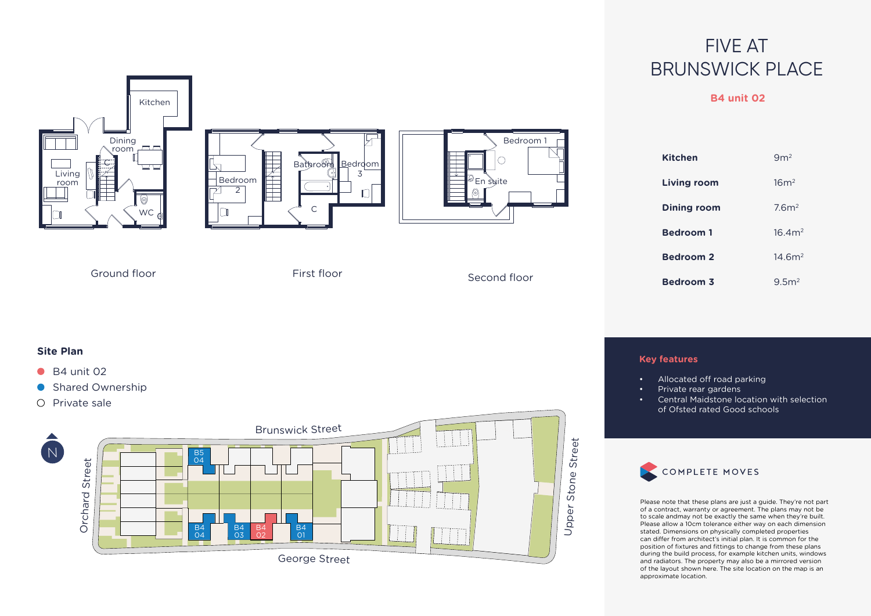## **B4 unit 02**







| <b>Kitchen</b>     | 9m <sup>2</sup>    |
|--------------------|--------------------|
| <b>Living room</b> | 16m <sup>2</sup>   |
| Dining room        | 7.6 <sup>m²</sup>  |
| <b>Bedroom 1</b>   | 16.4m <sup>2</sup> |
| <b>Bedroom 2</b>   | 14.6m <sup>2</sup> |
| <b>Bedroom 3</b>   | 9.5 <sup>2</sup>   |

Ground floor First floor Second floor

### **Site Plan**

- $\bullet$  B4 unit 02
- **Shared Ownership**
- $O$  Private sale



## **Key features**

- Allocated off road parking
- Private rear gardens
- Central Maidstone location with selection of Ofsted rated Good schools



Please note that these plans are just a guide. They're not part of a contract, warranty or agreement. The plans may not be to scale andmay not be exactly the same when they're built. Please allow a 10cm tolerance either way on each dimension stated. Dimensions on physically completed properties can differ from architect's initial plan. It is common for the position of fixtures and fittings to change from these plans during the build process, for example kitchen units, windows and radiators. The property may also be a mirrored version of the layout shown here. The site location on the map is an approximate location.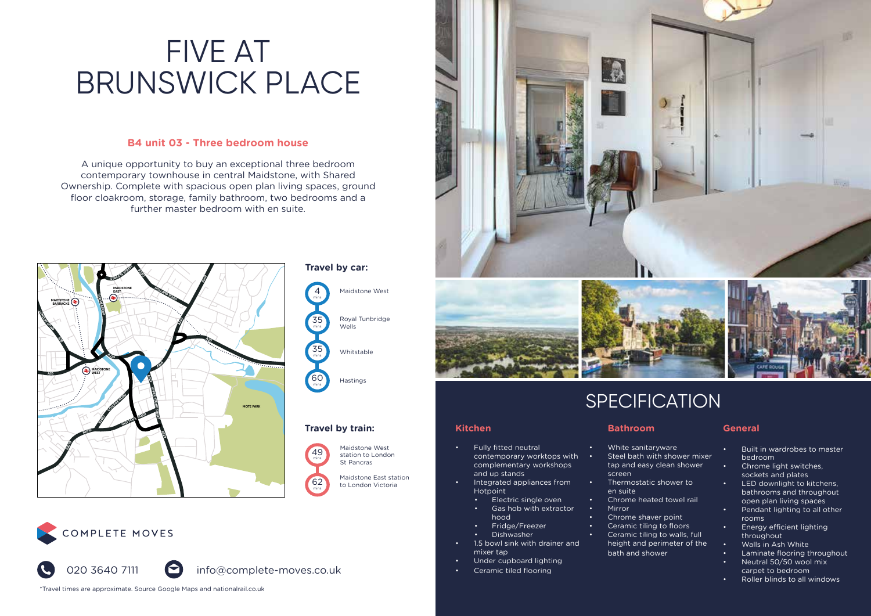### **B4 unit 03 - Three bedroom house**

A unique opportunity to buy an exceptional three bedroom contemporary townhouse in central Maidstone, with Shared Ownership. Complete with spacious open plan living spaces, ground floor cloakroom, storage, family bathroom, two bedrooms and a further master bedroom with en suite.



## COMPLETE MOVES



\*Travel times are approximate. Source Google Maps and nationalrail.co.uk





## **SPECIFICATION**

### **Kitchen**

Maidstone West

Royal Tunbridge Wells

Whitstable

Hastings

Maidstone East station to London Victoria

Maidstone West station to London St Pancras

- Fully fitted neutral contemporary worktops with complementary workshops and up stands
	- Integrated appliances from Hotpoint
		- Electric single oven
		- Gas hob with extractor hood
	- Fridge/Freezer
	- Dishwasher
- 1.5 bowl sink with drainer and mixer tap
- Under cupboard lighting
- Ceramic tiled flooring

- White sanitaryware Steel bath with shower mixer • Built in wardrobes to master
- tap and easy clean shower screen
- Thermostatic shower to en suite
- Chrome heated towel rail

**Bathroom**

- Mirror • Chrome shaver point
- Ceramic tiling to floors
- Ceramic tiling to walls, full
	- height and perimeter of the bath and shower
		- Laminate flooring throughout • Neutral 50/50 wool mix

rooms

**General**

bedroom • Chrome light switches, sockets and plates • LED downlight to kitchens, bathrooms and throughout open plan living spaces • Pendant lighting to all other

carpet to bedroom

• Energy efficient lighting throughout • Walls in Ash White

• Roller blinds to all windows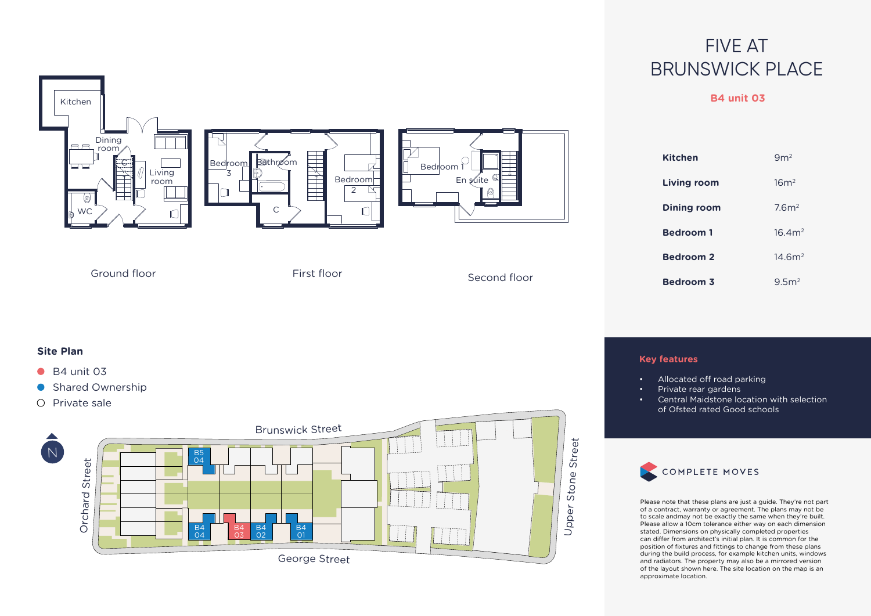## **B4 unit 03**



B4 01

Georg<sup>e</sup> Street

B4 02

B4 03

B4<br>04

Orc h ard

Stre

Please note that these plans are just a guide. They're not part of a contract, warranty or agreement. The plans may not be to scale andmay not be exactly the same when they're built. Please allow a 10cm tolerance either way on each dimension stated. Dimensions on physically completed properties can differ from architect's initial plan. It is common for the position of fixtures and fittings to change from these plans during the build process, for example kitchen units, windows and radiators. The property may also be a mirrored version of the layout shown here. The site location on the map is an approximate location.

コ  $\overline{\mathsf{d}}$  $\bar{\sigma}$ 

er Sto n e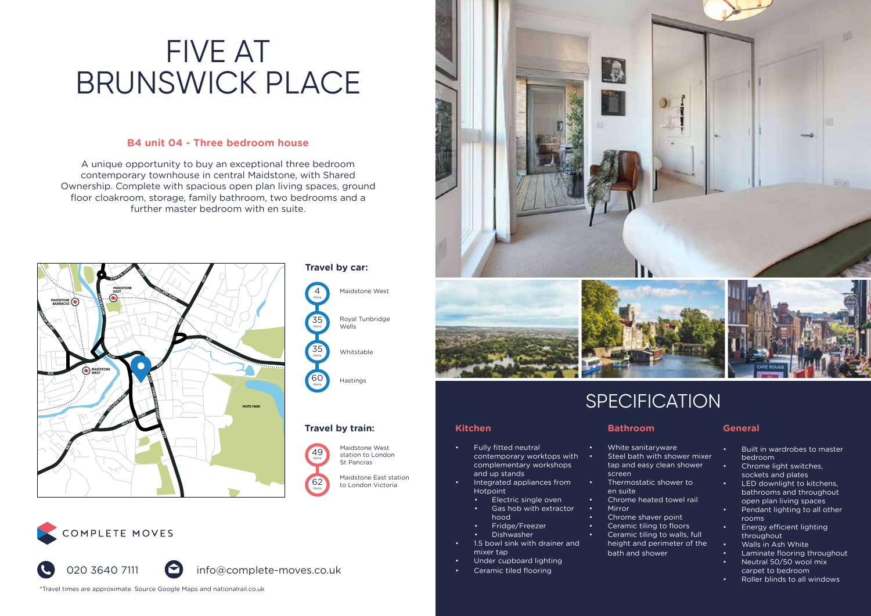### **B4 unit 04 - Three bedroom house**

A unique opportunity to buy an exceptional three bedroom contemporary townhouse in central Maidstone, with Shared Ownership. Complete with spacious open plan living spaces, ground floor cloakroom, storage, family bathroom, two bedrooms and a further master bedroom with en suite.



## COMPLETE MOVES



\*Travel times are approximate. Source Google Maps and nationalrail.co.uk





## **SPECIFICATION**

**Bathroom**

screen

en suite

• Mirror

• White sanitaryware Steel bath with shower mixer tap and easy clean shower

• Thermostatic shower to

• Chrome heated towel rail

• Chrome shaver point • Ceramic tiling to floors Ceramic tiling to walls, full height and perimeter of the

bath and shower

### **Kitchen**

Maidstone West

Royal Tunbridge Wells

Whitstable

Hastings

Maidstone East station to London Victoria

Maidstone West station to London St Pancras

- Fully fitted neutral contemporary worktops with complementary workshops and up stands
	- Integrated appliances from Hotpoint
		- Electric single oven
		- Gas hob with extractor hood
	- Fridge/Freezer
	- Dishwasher
- 1.5 bowl sink with drainer and mixer tap
- Under cupboard lighting
- Ceramic tiled flooring

### **General**

- Built in wardrobes to master bedroom
- Chrome light switches, sockets and plates
- LED downlight to kitchens, bathrooms and throughout
- open plan living spaces • Pendant lighting to all other rooms
- Energy efficient lighting throughout
- Walls in Ash White
- Laminate flooring throughout • Neutral 50/50 wool mix
- carpet to bedroom
- Roller blinds to all windows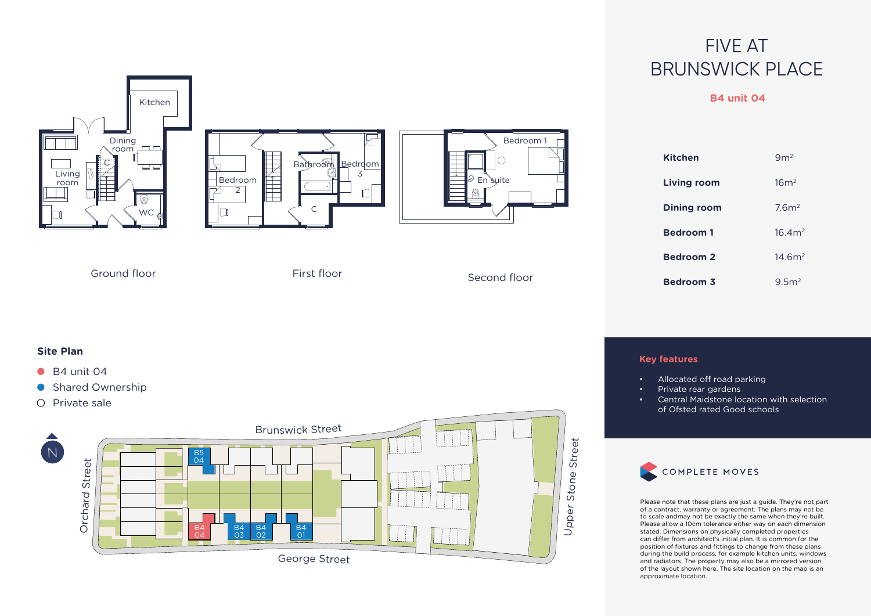## **B4 unit 04**







| <b>Kitchen</b>     | 9m <sup>2</sup>    |
|--------------------|--------------------|
| <b>Living room</b> | 16m <sup>2</sup>   |
| Dining room        | 7.6 <sup>2</sup>   |
| <b>Bedroom1</b>    | 16.4m <sup>2</sup> |
| <b>Bedroom 2</b>   | 14.6m <sup>2</sup> |
| <b>Bedroom 3</b>   | 9.5 <sup>2</sup>   |

Ground floor First floor Second floor

### **Site Plan**

- $\bullet$  B4 unit 04
- **Shared Ownership**
- $O$  Private sale



## **Key features**

- Allocated off road parking
- Private rear gardens
- Central Maidstone location with selection of Ofsted rated Good schools



Please note that these plans are just a guide. They're not part of a contract, warranty or agreement. The plans may not be to scale andmay not be exactly the same when they're built. Please allow a 10cm tolerance either way on each dimension stated. Dimensions on physically completed properties can differ from architect's initial plan. It is common for the position of fixtures and fittings to change from these plans during the build process, for example kitchen units, windows and radiators. The property may also be a mirrored version of the layout shown here. The site location on the map is an approximate location.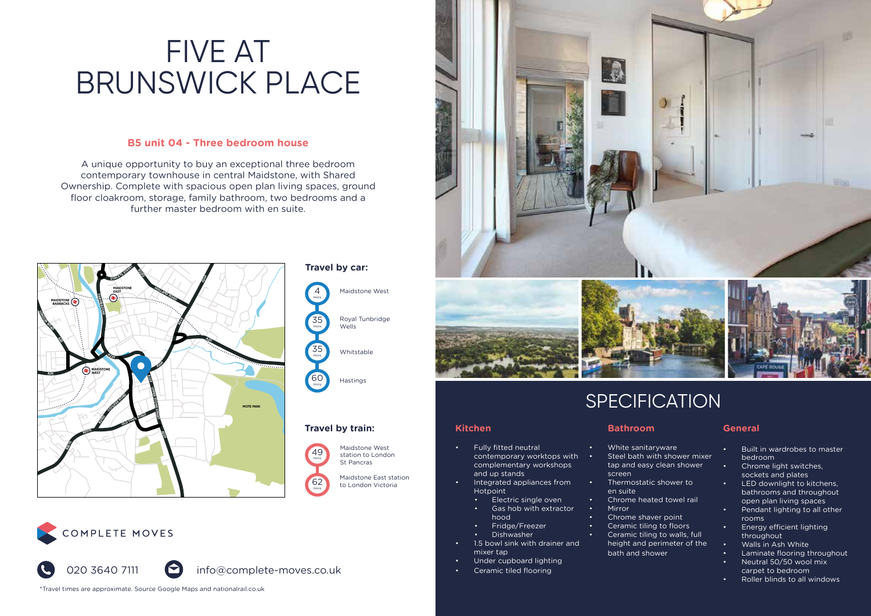### **B5 unit 04 - Three bedroom house**

A unique opportunity to buy an exceptional three bedroom contemporary townhouse in central Maidstone, with Shared Ownership. Complete with spacious open plan living spaces, ground floor cloakroom, storage, family bathroom, two bedrooms and a further master bedroom with en suite.



## COMPLETE MOVES



\*Travel times are approximate. Source Google Maps and nationalrail.co.uk





## **SPECIFICATION**

**Bathroom**

screen

en suite

• Mirror

• White sanitaryware Steel bath with shower mixer tap and easy clean shower

• Thermostatic shower to

• Chrome heated towel rail

• Chrome shaver point • Ceramic tiling to floors Ceramic tiling to walls, full height and perimeter of the

bath and shower

### **Kitchen**

Maidstone West

Royal Tunbridge Wells

Whitstable

Hastings

Maidstone East station to London Victoria

Maidstone West station to London St Pancras

- Fully fitted neutral contemporary worktops with complementary workshops and up stands
	- Integrated appliances from Hotpoint
		- Electric single oven
	- Gas hob with extractor hood
	- Fridge/Freezer
	- Dishwasher
- 1.5 bowl sink with drainer and mixer tap
- Under cupboard lighting
- Ceramic tiled flooring

### **General**

- Built in wardrobes to master bedroom
- Chrome light switches, sockets and plates
- LED downlight to kitchens, bathrooms and throughout open plan living spaces
- Pendant lighting to all other rooms
- Energy efficient lighting throughout
- Walls in Ash White
- Laminate flooring throughout • Neutral 50/50 wool mix carpet to bedroom
- Roller blinds to all windows